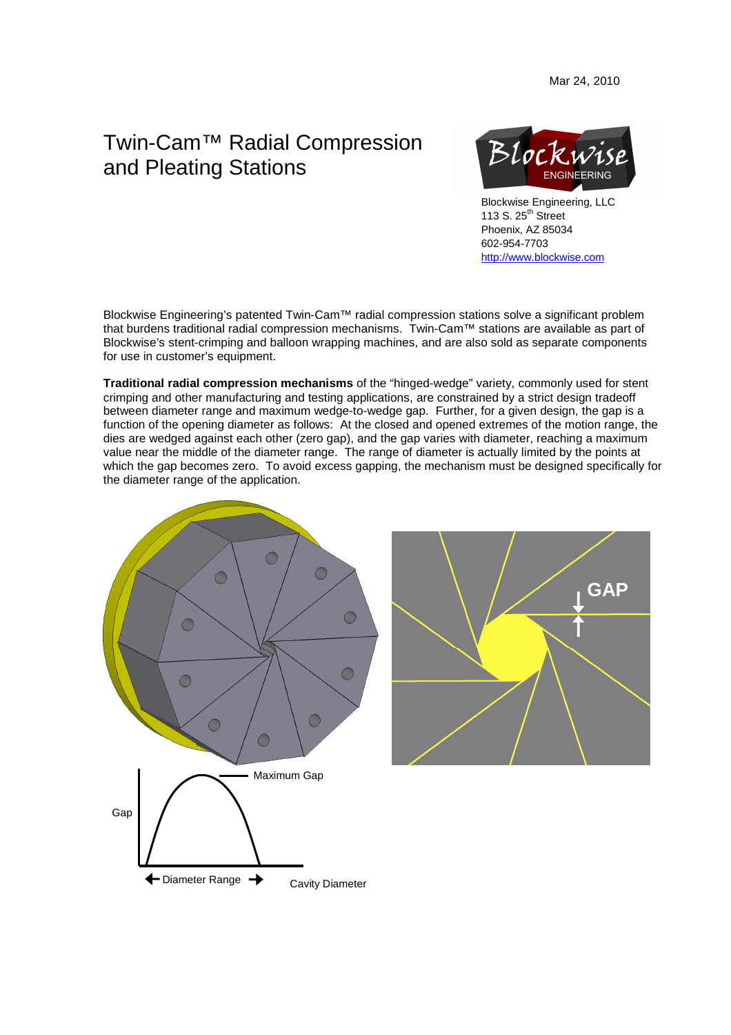## Twin-Cam™ Radial Compression and Pleating Stations



 Blockwise Engineering, LLC 113 S.  $25<sup>th</sup>$  Street Phoenix, AZ 85034 602-954-7703 http://www.blockwise.com

Blockwise Engineering's patented Twin-Cam™ radial compression stations solve a significant problem that burdens traditional radial compression mechanisms. Twin-Cam™ stations are available as part of Blockwise's stent-crimping and balloon wrapping machines, and are also sold as separate components for use in customer's equipment.

**Traditional radial compression mechanisms** of the "hinged-wedge" variety, commonly used for stent crimping and other manufacturing and testing applications, are constrained by a strict design tradeoff between diameter range and maximum wedge-to-wedge gap. Further, for a given design, the gap is a function of the opening diameter as follows: At the closed and opened extremes of the motion range, the dies are wedged against each other (zero gap), and the gap varies with diameter, reaching a maximum value near the middle of the diameter range. The range of diameter is actually limited by the points at which the gap becomes zero. To avoid excess gapping, the mechanism must be designed specifically for the diameter range of the application.

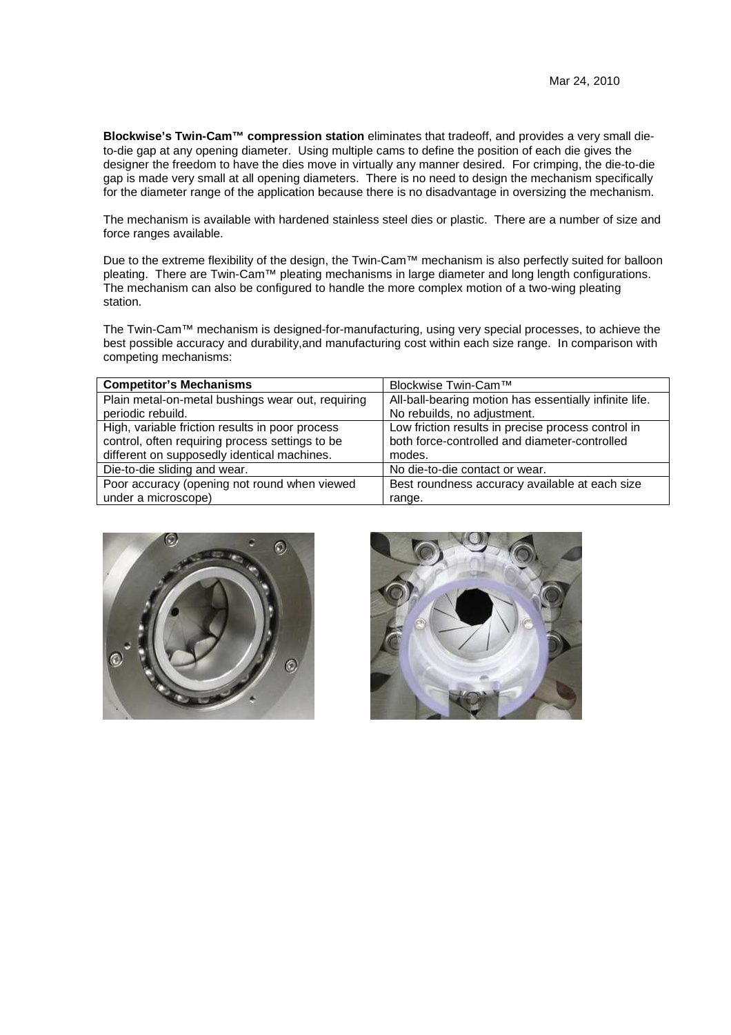**Blockwise's Twin-Cam™ compression station** eliminates that tradeoff, and provides a very small dieto-die gap at any opening diameter. Using multiple cams to define the position of each die gives the designer the freedom to have the dies move in virtually any manner desired. For crimping, the die-to-die gap is made very small at all opening diameters. There is no need to design the mechanism specifically for the diameter range of the application because there is no disadvantage in oversizing the mechanism.

The mechanism is available with hardened stainless steel dies or plastic. There are a number of size and force ranges available.

Due to the extreme flexibility of the design, the Twin-Cam™ mechanism is also perfectly suited for balloon pleating. There are Twin-Cam™ pleating mechanisms in large diameter and long length configurations. The mechanism can also be configured to handle the more complex motion of a two-wing pleating station.

The Twin-Cam™ mechanism is designed-for-manufacturing, using very special processes, to achieve the best possible accuracy and durability,and manufacturing cost within each size range. In comparison with competing mechanisms:

| <b>Competitor's Mechanisms</b>                    | Blockwise Twin-Cam™                                    |
|---------------------------------------------------|--------------------------------------------------------|
| Plain metal-on-metal bushings wear out, requiring | All-ball-bearing motion has essentially infinite life. |
| periodic rebuild.                                 | No rebuilds, no adjustment.                            |
| High, variable friction results in poor process   | Low friction results in precise process control in     |
| control, often requiring process settings to be   | both force-controlled and diameter-controlled          |
| different on supposedly identical machines.       | modes.                                                 |
| Die-to-die sliding and wear.                      | No die-to-die contact or wear.                         |
| Poor accuracy (opening not round when viewed      | Best roundness accuracy available at each size         |
| under a microscope)                               | range.                                                 |



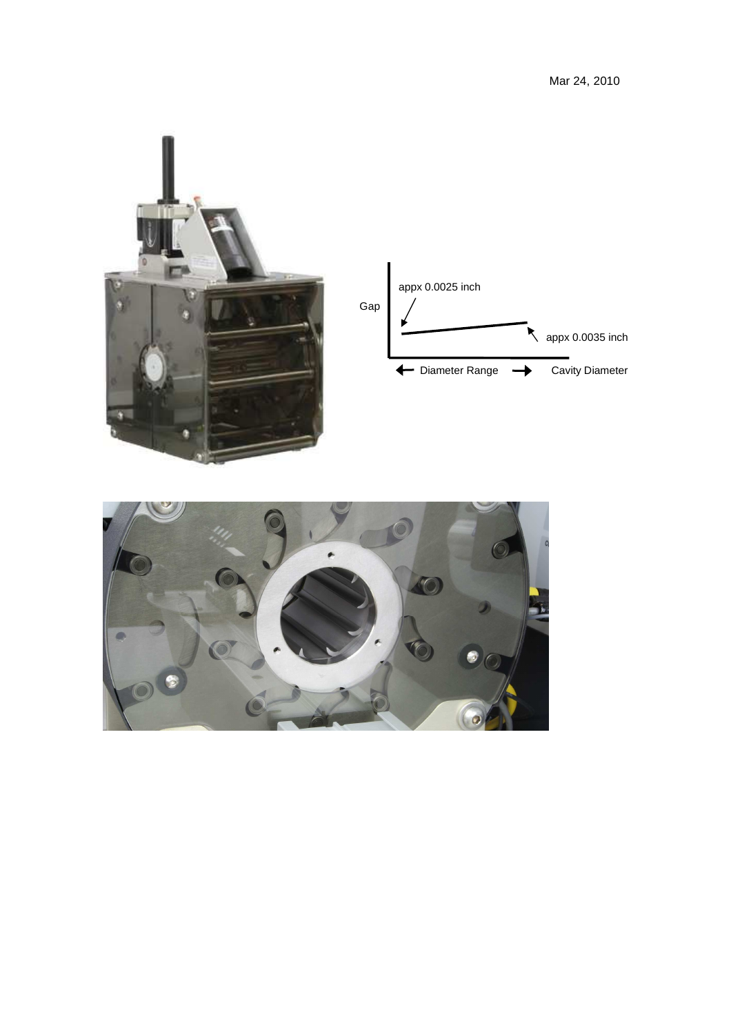